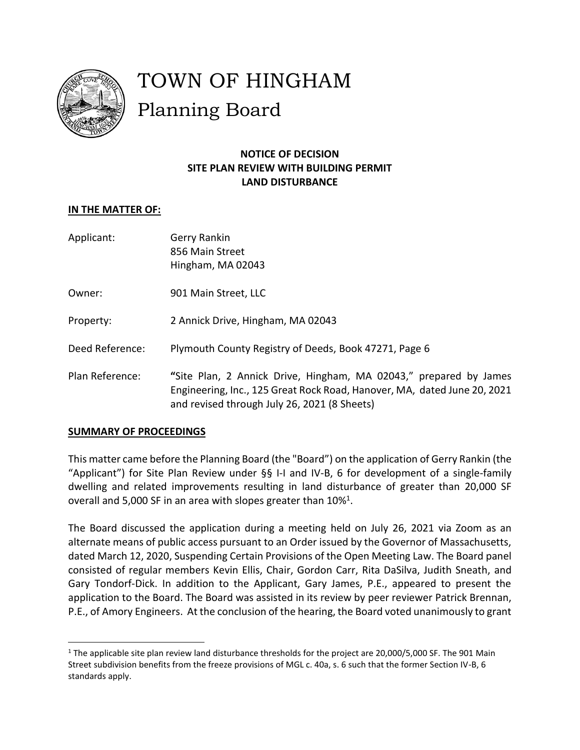

# TOWN OF HINGHAM Planning Board

# **NOTICE OF DECISION SITE PLAN REVIEW WITH BUILDING PERMIT LAND DISTURBANCE**

# **IN THE MATTER OF:**

Applicant: Gerry Rankin 856 Main Street Hingham, MA 02043

Owner: 901 Main Street, LLC

- Property: 2 Annick Drive, Hingham, MA 02043
- Deed Reference: Plymouth County Registry of Deeds, Book 47271, Page 6
- Plan Reference: **"**Site Plan, 2 Annick Drive, Hingham, MA 02043," prepared by James Engineering, Inc., 125 Great Rock Road, Hanover, MA, dated June 20, 2021 and revised through July 26, 2021 (8 Sheets)

## **SUMMARY OF PROCEEDINGS**

 $\overline{\phantom{a}}$ 

This matter came before the Planning Board (the "Board") on the application of Gerry Rankin (the "Applicant") for Site Plan Review under §§ I-I and IV-B, 6 for development of a single-family dwelling and related improvements resulting in land disturbance of greater than 20,000 SF overall and 5,000 SF in an area with slopes greater than  $10\%$ <sup>1</sup>.

The Board discussed the application during a meeting held on July 26, 2021 via Zoom as an alternate means of public access pursuant to an Order issued by the Governor of Massachusetts, dated March 12, 2020, Suspending Certain Provisions of the Open Meeting Law. The Board panel consisted of regular members Kevin Ellis, Chair, Gordon Carr, Rita DaSilva, Judith Sneath, and Gary Tondorf-Dick. In addition to the Applicant, Gary James, P.E., appeared to present the application to the Board. The Board was assisted in its review by peer reviewer Patrick Brennan, P.E., of Amory Engineers. At the conclusion of the hearing, the Board voted unanimously to grant

<sup>&</sup>lt;sup>1</sup> The applicable site plan review land disturbance thresholds for the project are 20,000/5,000 SF. The 901 Main Street subdivision benefits from the freeze provisions of MGL c. 40a, s. 6 such that the former Section IV-B, 6 standards apply.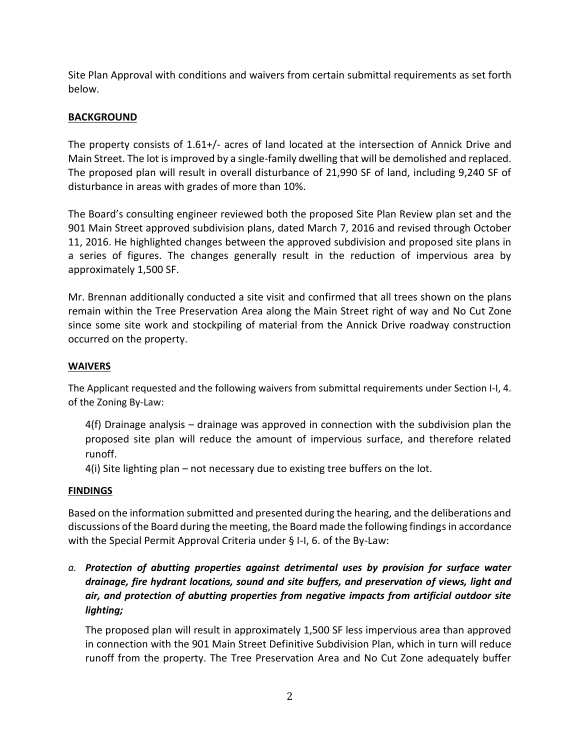Site Plan Approval with conditions and waivers from certain submittal requirements as set forth below.

# **BACKGROUND**

The property consists of 1.61+/- acres of land located at the intersection of Annick Drive and Main Street. The lot is improved by a single-family dwelling that will be demolished and replaced. The proposed plan will result in overall disturbance of 21,990 SF of land, including 9,240 SF of disturbance in areas with grades of more than 10%.

The Board's consulting engineer reviewed both the proposed Site Plan Review plan set and the 901 Main Street approved subdivision plans, dated March 7, 2016 and revised through October 11, 2016. He highlighted changes between the approved subdivision and proposed site plans in a series of figures. The changes generally result in the reduction of impervious area by approximately 1,500 SF.

Mr. Brennan additionally conducted a site visit and confirmed that all trees shown on the plans remain within the Tree Preservation Area along the Main Street right of way and No Cut Zone since some site work and stockpiling of material from the Annick Drive roadway construction occurred on the property.

## **WAIVERS**

The Applicant requested and the following waivers from submittal requirements under Section I-I, 4. of the Zoning By-Law:

4(f) Drainage analysis – drainage was approved in connection with the subdivision plan the proposed site plan will reduce the amount of impervious surface, and therefore related runoff.

4(i) Site lighting plan – not necessary due to existing tree buffers on the lot.

#### **FINDINGS**

Based on the information submitted and presented during the hearing, and the deliberations and discussions of the Board during the meeting, the Board made the following findings in accordance with the Special Permit Approval Criteria under § I-I, 6. of the By-Law:

*a. Protection of abutting properties against detrimental uses by provision for surface water drainage, fire hydrant locations, sound and site buffers, and preservation of views, light and air, and protection of abutting properties from negative impacts from artificial outdoor site lighting;*

The proposed plan will result in approximately 1,500 SF less impervious area than approved in connection with the 901 Main Street Definitive Subdivision Plan, which in turn will reduce runoff from the property. The Tree Preservation Area and No Cut Zone adequately buffer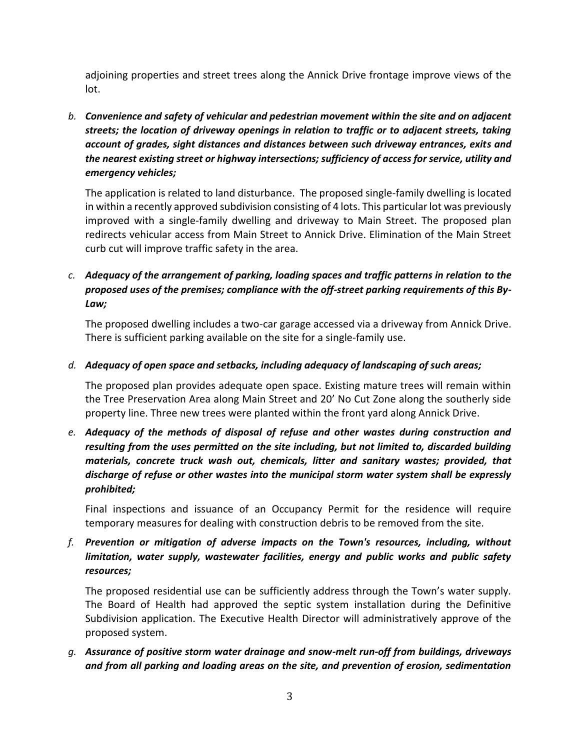adjoining properties and street trees along the Annick Drive frontage improve views of the lot.

*b. Convenience and safety of vehicular and pedestrian movement within the site and on adjacent streets; the location of driveway openings in relation to traffic or to adjacent streets, taking account of grades, sight distances and distances between such driveway entrances, exits and the nearest existing street or highway intersections; sufficiency of access for service, utility and emergency vehicles;*

The application is related to land disturbance. The proposed single-family dwelling is located in within a recently approved subdivision consisting of 4 lots. This particular lot was previously improved with a single-family dwelling and driveway to Main Street. The proposed plan redirects vehicular access from Main Street to Annick Drive. Elimination of the Main Street curb cut will improve traffic safety in the area.

# *c. Adequacy of the arrangement of parking, loading spaces and traffic patterns in relation to the proposed uses of the premises; compliance with the off-street parking requirements of this By-Law;*

The proposed dwelling includes a two-car garage accessed via a driveway from Annick Drive. There is sufficient parking available on the site for a single-family use.

# *d. Adequacy of open space and setbacks, including adequacy of landscaping of such areas;*

The proposed plan provides adequate open space. Existing mature trees will remain within the Tree Preservation Area along Main Street and 20' No Cut Zone along the southerly side property line. Three new trees were planted within the front yard along Annick Drive.

*e. Adequacy of the methods of disposal of refuse and other wastes during construction and resulting from the uses permitted on the site including, but not limited to, discarded building materials, concrete truck wash out, chemicals, litter and sanitary wastes; provided, that discharge of refuse or other wastes into the municipal storm water system shall be expressly prohibited;*

Final inspections and issuance of an Occupancy Permit for the residence will require temporary measures for dealing with construction debris to be removed from the site.

*f. Prevention or mitigation of adverse impacts on the Town's resources, including, without limitation, water supply, wastewater facilities, energy and public works and public safety resources;*

The proposed residential use can be sufficiently address through the Town's water supply. The Board of Health had approved the septic system installation during the Definitive Subdivision application. The Executive Health Director will administratively approve of the proposed system.

*g. Assurance of positive storm water drainage and snow-melt run-off from buildings, driveways and from all parking and loading areas on the site, and prevention of erosion, sedimentation*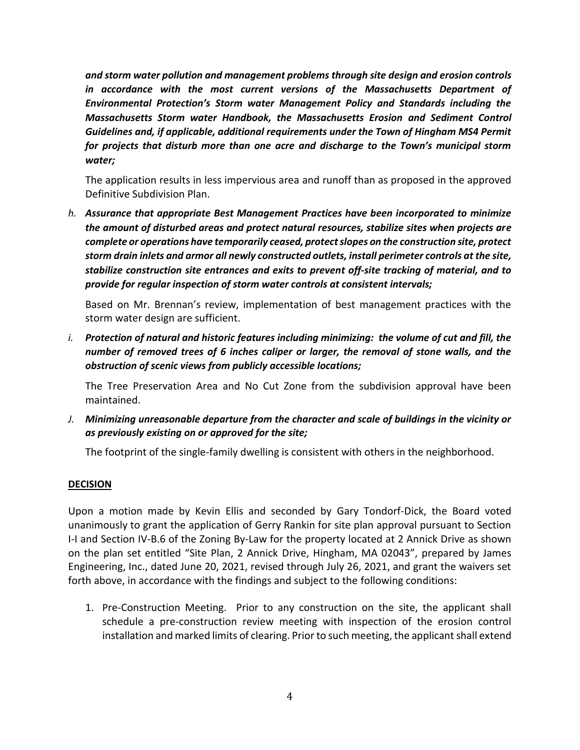*and storm water pollution and management problems through site design and erosion controls in accordance with the most current versions of the Massachusetts Department of Environmental Protection's Storm water Management Policy and Standards including the Massachusetts Storm water Handbook, the Massachusetts Erosion and Sediment Control Guidelines and, if applicable, additional requirements under the Town of Hingham MS4 Permit for projects that disturb more than one acre and discharge to the Town's municipal storm water;*

The application results in less impervious area and runoff than as proposed in the approved Definitive Subdivision Plan.

*h. Assurance that appropriate Best Management Practices have been incorporated to minimize the amount of disturbed areas and protect natural resources, stabilize sites when projects are complete or operations have temporarily ceased, protect slopes on the construction site, protect storm drain inlets and armor all newly constructed outlets, install perimeter controls at the site, stabilize construction site entrances and exits to prevent off-site tracking of material, and to provide for regular inspection of storm water controls at consistent intervals;*

Based on Mr. Brennan's review, implementation of best management practices with the storm water design are sufficient.

*i. Protection of natural and historic features including minimizing: the volume of cut and fill, the number of removed trees of 6 inches caliper or larger, the removal of stone walls, and the obstruction of scenic views from publicly accessible locations;*

The Tree Preservation Area and No Cut Zone from the subdivision approval have been maintained.

*J. Minimizing unreasonable departure from the character and scale of buildings in the vicinity or as previously existing on or approved for the site;*

The footprint of the single-family dwelling is consistent with others in the neighborhood.

#### **DECISION**

Upon a motion made by Kevin Ellis and seconded by Gary Tondorf-Dick, the Board voted unanimously to grant the application of Gerry Rankin for site plan approval pursuant to Section I-I and Section IV-B.6 of the Zoning By-Law for the property located at 2 Annick Drive as shown on the plan set entitled "Site Plan, 2 Annick Drive, Hingham, MA 02043", prepared by James Engineering, Inc., dated June 20, 2021, revised through July 26, 2021, and grant the waivers set forth above, in accordance with the findings and subject to the following conditions:

1. Pre-Construction Meeting. Prior to any construction on the site, the applicant shall schedule a pre-construction review meeting with inspection of the erosion control installation and marked limits of clearing. Prior to such meeting, the applicant shall extend